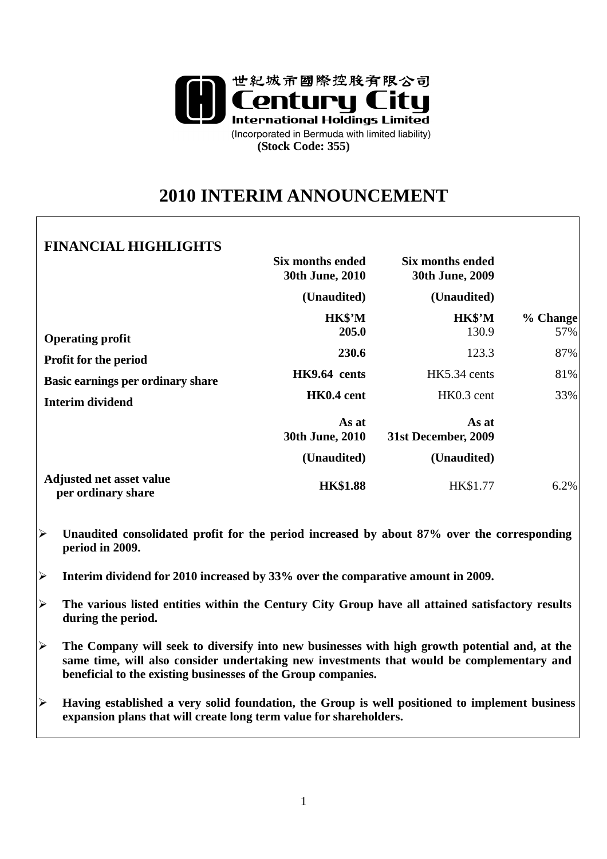

# **2010 INTERIM ANNOUNCEMENT**

# **FINANCIAL HIGHLIGHTS**

|                                                                                              | Six months ended<br>30th June, 2010 | Six months ended<br>30th June, 2009 |                 |
|----------------------------------------------------------------------------------------------|-------------------------------------|-------------------------------------|-----------------|
|                                                                                              | (Unaudited)                         | (Unaudited)                         |                 |
| <b>Operating profit</b><br><b>Profit for the period</b><br>Basic earnings per ordinary share | HK\$'M<br>205.0                     | HK\$'M<br>130.9                     | % Change<br>57% |
|                                                                                              | 230.6                               | 123.3                               | 87%             |
|                                                                                              | HK9.64 cents                        | HK5.34 cents                        | 81%             |
| <b>Interim dividend</b>                                                                      | HK0.4 cent                          | HK0.3 cent                          | 33%             |
|                                                                                              | As at<br>30th June, 2010            | As at<br>31st December, 2009        |                 |
|                                                                                              | (Unaudited)                         | (Unaudited)                         |                 |
| <b>Adjusted net asset value</b><br>per ordinary share                                        | <b>HK\$1.88</b>                     | HK\$1.77                            | 6.2%            |

- **Unaudited consolidated profit for the period increased by about 87% over the corresponding period in 2009.**
- **Interim dividend for 2010 increased by 33% over the comparative amount in 2009.**
- **The various listed entities within the Century City Group have all attained satisfactory results during the period.**
- **The Company will seek to diversify into new businesses with high growth potential and, at the same time, will also consider undertaking new investments that would be complementary and beneficial to the existing businesses of the Group companies.**
- **Having established a very solid foundation, the Group is well positioned to implement business expansion plans that will create long term value for shareholders.**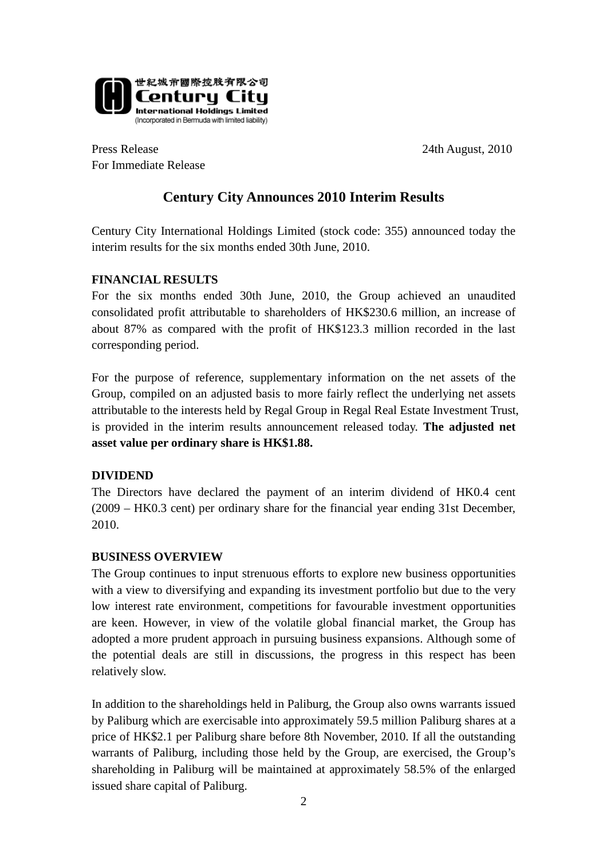

Press Release 24th August, 2010 For Immediate Release

# **Century City Announces 2010 Interim Results**

Century City International Holdings Limited (stock code: 355) announced today the interim results for the six months ended 30th June, 2010.

## **FINANCIAL RESULTS**

For the six months ended 30th June, 2010, the Group achieved an unaudited consolidated profit attributable to shareholders of HK\$230.6 million, an increase of about 87% as compared with the profit of HK\$123.3 million recorded in the last corresponding period.

For the purpose of reference, supplementary information on the net assets of the Group, compiled on an adjusted basis to more fairly reflect the underlying net assets attributable to the interests held by Regal Group in Regal Real Estate Investment Trust, is provided in the interim results announcement released today. **The adjusted net asset value per ordinary share is HK\$1.88.** 

#### **DIVIDEND**

The Directors have declared the payment of an interim dividend of HK0.4 cent (2009 – HK0.3 cent) per ordinary share for the financial year ending 31st December, 2010.

## **BUSINESS OVERVIEW**

The Group continues to input strenuous efforts to explore new business opportunities with a view to diversifying and expanding its investment portfolio but due to the very low interest rate environment, competitions for favourable investment opportunities are keen. However, in view of the volatile global financial market, the Group has adopted a more prudent approach in pursuing business expansions. Although some of the potential deals are still in discussions, the progress in this respect has been relatively slow.

In addition to the shareholdings held in Paliburg, the Group also owns warrants issued by Paliburg which are exercisable into approximately 59.5 million Paliburg shares at a price of HK\$2.1 per Paliburg share before 8th November, 2010. If all the outstanding warrants of Paliburg, including those held by the Group, are exercised, the Group's shareholding in Paliburg will be maintained at approximately 58.5% of the enlarged issued share capital of Paliburg.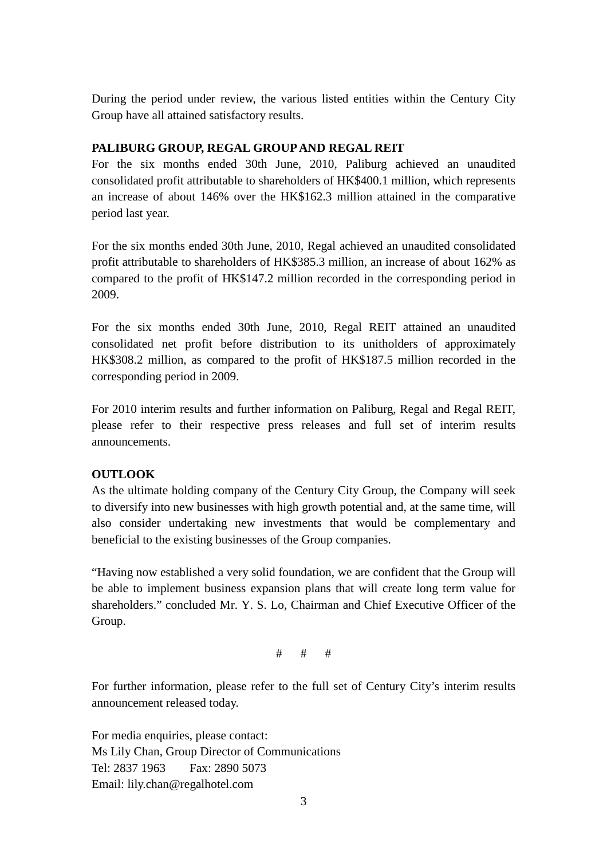During the period under review, the various listed entities within the Century City Group have all attained satisfactory results.

# **PALIBURG GROUP, REGAL GROUP AND REGAL REIT**

For the six months ended 30th June, 2010, Paliburg achieved an unaudited consolidated profit attributable to shareholders of HK\$400.1 million, which represents an increase of about 146% over the HK\$162.3 million attained in the comparative period last year.

For the six months ended 30th June, 2010, Regal achieved an unaudited consolidated profit attributable to shareholders of HK\$385.3 million, an increase of about 162% as compared to the profit of HK\$147.2 million recorded in the corresponding period in 2009.

For the six months ended 30th June, 2010, Regal REIT attained an unaudited consolidated net profit before distribution to its unitholders of approximately HK\$308.2 million, as compared to the profit of HK\$187.5 million recorded in the corresponding period in 2009.

For 2010 interim results and further information on Paliburg, Regal and Regal REIT, please refer to their respective press releases and full set of interim results announcements.

## **OUTLOOK**

As the ultimate holding company of the Century City Group, the Company will seek to diversify into new businesses with high growth potential and, at the same time, will also consider undertaking new investments that would be complementary and beneficial to the existing businesses of the Group companies.

"Having now established a very solid foundation, we are confident that the Group will be able to implement business expansion plans that will create long term value for shareholders." concluded Mr. Y. S. Lo, Chairman and Chief Executive Officer of the Group.

# # #

For further information, please refer to the full set of Century City's interim results announcement released today.

For media enquiries, please contact: Ms Lily Chan, Group Director of Communications Tel: 2837 1963 Fax: 2890 5073 Email: lily.chan@regalhotel.com